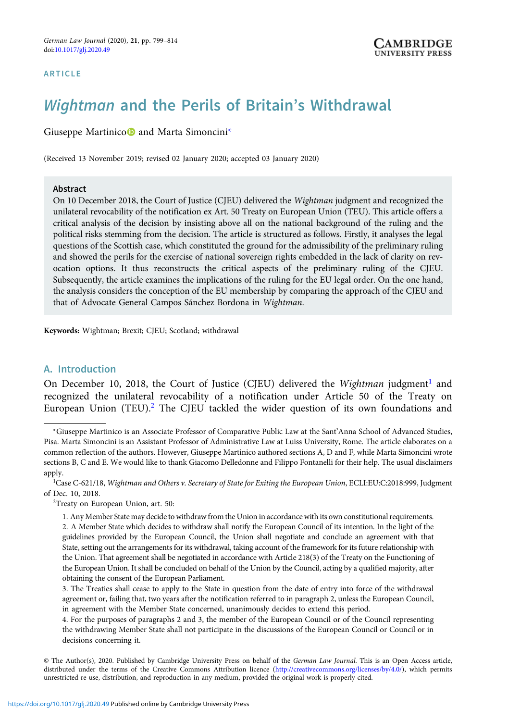# Wightman and the Perils of Britain's Withdrawal

Giuseppe Martinico<sup>n</sup> and Marta Simoncini<sup>\*</sup>

(Received 13 November 2019; revised 02 January 2020; accepted 03 January 2020)

#### Abstract

On 10 December 2018, the Court of Justice (CJEU) delivered the Wightman judgment and recognized the unilateral revocability of the notification ex Art. 50 Treaty on European Union (TEU). This article offers a critical analysis of the decision by insisting above all on the national background of the ruling and the political risks stemming from the decision. The article is structured as follows. Firstly, it analyses the legal questions of the Scottish case, which constituted the ground for the admissibility of the preliminary ruling and showed the perils for the exercise of national sovereign rights embedded in the lack of clarity on revocation options. It thus reconstructs the critical aspects of the preliminary ruling of the CJEU. Subsequently, the article examines the implications of the ruling for the EU legal order. On the one hand, the analysis considers the conception of the EU membership by comparing the approach of the CJEU and that of Advocate General Campos Sánchez Bordona in Wightman.

Keywords: Wightman; Brexit; CJEU; Scotland; withdrawal

### A. Introduction

On December 10, 2018, the Court of Justice (CJEU) delivered the Wightman judgment<sup>1</sup> and recognized the unilateral revocability of a notification under Article 50 of the Treaty on European Union (TEU).<sup>2</sup> The CJEU tackled the wider question of its own foundations and

<sup>2</sup>Treaty on European Union, art. 50:

<sup>\*</sup>Giuseppe Martinico is an Associate Professor of Comparative Public Law at the Sant'Anna School of Advanced Studies, Pisa. Marta Simoncini is an Assistant Professor of Administrative Law at Luiss University, Rome. The article elaborates on a common reflection of the authors. However, Giuseppe Martinico authored sections A, D and F, while Marta Simoncini wrote sections B, C and E. We would like to thank Giacomo Delledonne and Filippo Fontanelli for their help. The usual disclaimers apply.

<sup>&</sup>lt;sup>1</sup>Case C-621/18, Wightman and Others v. Secretary of State for Exiting the European Union, ECLI:EU:C:2018:999, Judgment of Dec. 10, 2018.

<sup>1.</sup> Any Member State may decide to withdraw from the Union in accordance with its own constitutional requirements. 2. A Member State which decides to withdraw shall notify the European Council of its intention. In the light of the guidelines provided by the European Council, the Union shall negotiate and conclude an agreement with that State, setting out the arrangements for its withdrawal, taking account of the framework for its future relationship with the Union. That agreement shall be negotiated in accordance with Article 218(3) of the Treaty on the Functioning of the European Union. It shall be concluded on behalf of the Union by the Council, acting by a qualified majority, after obtaining the consent of the European Parliament.

<sup>3.</sup> The Treaties shall cease to apply to the State in question from the date of entry into force of the withdrawal agreement or, failing that, two years after the notification referred to in paragraph 2, unless the European Council, in agreement with the Member State concerned, unanimously decides to extend this period.

<sup>4.</sup> For the purposes of paragraphs 2 and 3, the member of the European Council or of the Council representing the withdrawing Member State shall not participate in the discussions of the European Council or Council or in decisions concerning it.

<sup>©</sup> The Author(s), 2020. Published by Cambridge University Press on behalf of the German Law Journal. This is an Open Access article, distributed under the terms of the Creative Commons Attribution licence [\(http://creativecommons.org/licenses/by/4.0/](http://creativecommons.org/licenses/by/4.0/)), which permits unrestricted re-use, distribution, and reproduction in any medium, provided the original work is properly cited.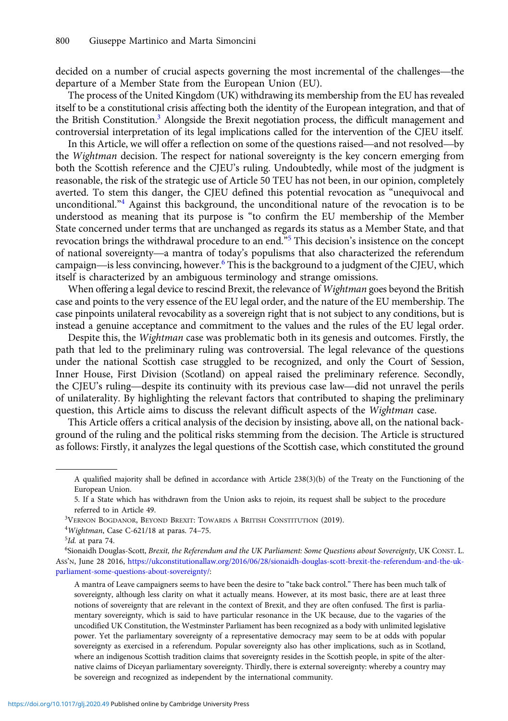800 Giuseppe Martinico and Marta Simoncini<br>decided on a number of crucial aspects governing the most incremental of the challenges—the departure of a Member State from the European Union (EU).

The process of the United Kingdom (UK) withdrawing its membership from the EU has revealed itself to be a constitutional crisis affecting both the identity of the European integration, and that of the British Constitution.<sup>3</sup> Alongside the Brexit negotiation process, the difficult management and controversial interpretation of its legal implications called for the intervention of the CJEU itself. In the process of the United Kingdom (UK) withdrawing its membership from the EU has revealed<br>If to be a constitutional crisis affecting both the identity of the European integration, and that of<br>British Constitution.<sup>3</sup> A

the Wightman decision. The respect for national sovereignty is the key concern emerging from both the Scottish reference and the CJEU's ruling. Undoubtedly, while most of the judgment is reasonable, the risk of the strategic use of Article 50 TEU has not been, in our opinion, completely averted. To stem this danger, the CJEU defined this potential revocation as "unequivocal and unconditional."<sup>4</sup> Against this background, the unconditional nature of the revocation is to be understood as meaning that its purpose is "to confirm the EU membership of the Member State concerned under terms that are unchanged as regards its status as a Member State, and that revocation brings the withdrawal procedure to an end."<sup>5</sup> This decision's insistence on the concept unconditional. Against this background, the unconditional nature of the revocation is to be<br>understood as meaning that its purpose is "to confirm the EU membership of the Member<br>State concerned under terms that are unchang of national sovereignty—a mantra of today's populisms that also characterized the referendum campaign—is less convincing, however.<sup>6</sup> This is the background to a judgment of the CJEU, which itself is characterized by an ambiguous terminology and strange omissions.

When offering a legal device to rescind Brexit, the relevance of Wightman goes beyond the British case and points to the very essence of the EU legal order, and the nature of the EU membership. The case pinpoints unilateral revocability as a sovereign right that is not subject to any conditions, but is instead a genuine acceptance and commitment to the values and the rules of the EU legal order.

Despite this, the Wightman case was problematic both in its genesis and outcomes. Firstly, the path that led to the preliminary ruling was controversial. The legal relevance of the questions under the national Scottish case struggled to be recognized, and only the Court of Session, Inner House, First Division (Scotland) on appeal raised the preliminary reference. Secondly, Despite this, the *Wightman* case was problematic both in its genesis and outcomes. Firstly, the path that led to the preliminary ruling was controversial. The legal relevance of the questions under the national Scottish c of unilaterality. By highlighting the relevant factors that contributed to shaping the preliminary question, this Article aims to discuss the relevant difficult aspects of the Wightman case.

This Article offers a critical analysis of the decision by insisting, above all, on the national background of the ruling and the political risks stemming from the decision. The Article is structured as follows: Firstly, it analyzes the legal questions of the Scottish case, which constituted the ground

A qualified majority shall be defined in accordance with Article 238(3)(b) of the Treaty on the Functioning of the European Union.

<sup>5.</sup> If a State which has withdrawn from the Union asks to rejoin, its request shall be subject to the procedure referred to in Article 49.

<sup>3</sup> VERNON BOGDANOR, BEYOND BREXIT: TOWARDS A BRITISH CONSTITUTION (2019).

<sup>4</sup> Wightman, Case C-621/18 at paras. 74–75.

<sup>&</sup>lt;sup>5</sup>Id. at para 74.

<sup>6</sup> Sionaidh Douglas-Scott, Brexit, the Referendum and the UK Parliament: Some Questions about Sovereignty, UK CONST. L. ASS'N, June 28 2016, [https://ukconstitutionallaw.org/2016/06/28/sionaidh-douglas-scott-brexit-the-referendum-and-the-uk](https://ukconstitutionallaw.org/2016/06/28/sionaidh-douglas-scott-brexit-the-referendum-and-the-uk-parliament-some-questions-about-sovereignty/)[parliament-some-questions-about-sovereignty/:](https://ukconstitutionallaw.org/2016/06/28/sionaidh-douglas-scott-brexit-the-referendum-and-the-uk-parliament-some-questions-about-sovereignty/)

A mantra of Leave campaigners seems to have been the desire to "take back control." There has been much talk of sovereignty, although less clarity on what it actually means. However, at its most basic, there are at least three notions of sovereignty that are relevant in the context of Brexit, and they are often confused. The first is parliamentary sovereignty, which is said to have particular resonance in the UK because, due to the vagaries of the uncodified UK Constitution, the Westminster Parliament has been recognized as a body with unlimited legislative power. Yet the parliamentary sovereignty of a representative democracy may seem to be at odds with popular sovereignty as exercised in a referendum. Popular sovereignty also has other implications, such as in Scotland, where an indigenous Scottish tradition claims that sovereignty resides in the Scottish people, in spite of the alternative claims of Diceyan parliamentary sovereignty. Thirdly, there is external sovereignty: whereby a country may be sovereign and recognized as independent by the international community.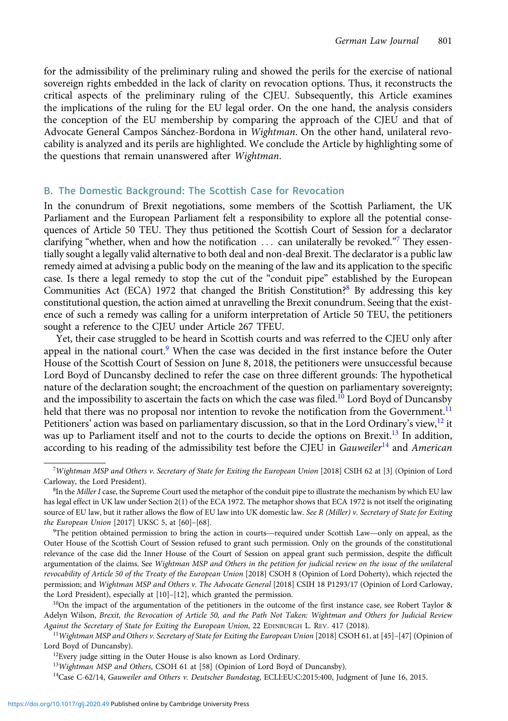for the admissibility of the preliminary ruling and showed the perils for the exercise of national sovereign rights embedded in the lack of clarity on revocation options. Thus, it reconstructs the critical aspects of the preliminary ruling of the CJEU. Subsequently, this Article examines the implications of the ruling for the EU legal order. On the one hand, the analysis considers the conception of the EU membership by comparing the approach of the CJEU and that of Advocate General Campos Sánchez-Bordona in Wightman. On the other hand, unilateral revocability is analyzed and its perils are highlighted. We conclude the Article by highlighting some of the questions that remain unanswered after Wightman.

#### B. The Domestic Background: The Scottish Case for Revocation

In the conundrum of Brexit negotiations, some members of the Scottish Parliament, the UK Parliament and the European Parliament felt a responsibility to explore all the potential consequences of Article 50 TEU. They thus petitioned the Scottish Court of Session for a declarator clarifying "whether, when and how the notification  $\dots$  can unilaterally be revoked."<sup>7</sup> They essentially sought a legally valid alternative to both deal and non-deal Brexit. The declarator is a public law remedy aimed at advising a public body on the meaning of the law and its application to the specific case. Is there a legal remedy to stop the cut of the "conduit pipe" established by the European Communities Act (ECA) 1972 that changed the British Constitution?<sup>8</sup> By addressing this key constitutional question, the action aimed at unravelling the Brexit conundrum. Seeing that the existence of such a remedy was calling for a uniform interpretation of Article 50 TEU, the petitioners sought a reference to the CJEU under Article 267 TFEU.

Yet, their case struggled to be heard in Scottish courts and was referred to the CJEU only after appeal in the national court. $9$  When the case was decided in the first instance before the Outer House of the Scottish Court of Session on June 8, 2018, the petitioners were unsuccessful because Lord Boyd of Duncansby declined to refer the case on three different grounds: The hypothetical nature of the declaration sought; the encroachment of the question on parliamentary sovereignty; and the impossibility to ascertain the facts on which the case was filed.<sup>10</sup> Lord Boyd of Duncansby held that there was no proposal nor intention to revoke the notification from the Government.<sup>11</sup> Petitioners' action was based on parliamentary discussion, so that in the Lord Ordinary's view,  $12$  it was up to Parliament itself and not to the courts to decide the options on Brexit.<sup>13</sup> In addition, according to his reading of the admissibility test before the CJEU in Gauweiler<sup>14</sup> and American

<sup>7</sup> Wightman MSP and Others v. Secretary of State for Exiting the European Union [2018] CSIH 62 at [3] (Opinion of Lord Carloway, the Lord President).

 ${}^8{\rm In}$  the Miller I case, the Supreme Court used the metaphor of the conduit pipe to illustrate the mechanism by which EU law has legal effect in UK law under Section 2(1) of the ECA 1972. The metaphor shows that ECA 1972 is not itself the originating source of EU law, but it rather allows the flow of EU law into UK domestic law. See R (Miller) v. Secretary of State for Exiting the European Union [2017] UKSC 5, at [60]–[68]. legal effect in UK law under Section 2(1) of the ECA 1972. The metaphor shows that ECA 1972 is not itself the originating<br>rce of EU law, but it rather allows the flow of EU law into UK domestic law. *See R (Miller) v. Secr* 

<sup>&</sup>lt;sup>9</sup>The petition obtained permission to bring the action in courts—required under Scottish Law—only on appeal, as the Outer House of the Scottish Court of Session refused to grant such permission. Only on the grounds of the constitutional relevance of the case did the Inner House of the Court of Session on appeal grant such permission, despite the difficult argumentation of the claims. See Wightman MSP and Others in the petition for judicial review on the issue of the unilateral revocability of Article 50 of the Treaty of the European Union [2018] CSOH 8 (Opinion of Lord Doherty), which rejected the permission; and Wightman MSP and Others v. The Advocate General [2018] CSIH 18 P1293/17 (Opinion of Lord Carloway, the Lord President), especially at [10]–[12], which granted the permission.

 $10$ On the impact of the argumentation of the petitioners in the outcome of the first instance case, see Robert Taylor & Adelyn Wilson, Brexit, the Revocation of Article 50, and the Path Not Taken: Wightman and Others for Judicial Review Against the Secretary of State for Exiting the European Union, 22 EDINBURGH L. REV. 417 (2018).

<sup>11</sup>Wightman MSP and Others v. Secretary of State for Exiting the European Union [2018] CSOH 61, at [45]–[47] (Opinion of Lord Boyd of Duncansby).

<sup>&</sup>lt;sup>12</sup>Every judge sitting in the Outer House is also known as Lord Ordinary.

<sup>13</sup> Wightman MSP and Others, CSOH 61 at [58] (Opinion of Lord Boyd of Duncansby).

<sup>&</sup>lt;sup>14</sup>Case C-62/14, Gauweiler and Others v. Deutscher Bundestag, ECLI:EU:C:2015:400, Judgment of June 16, 2015.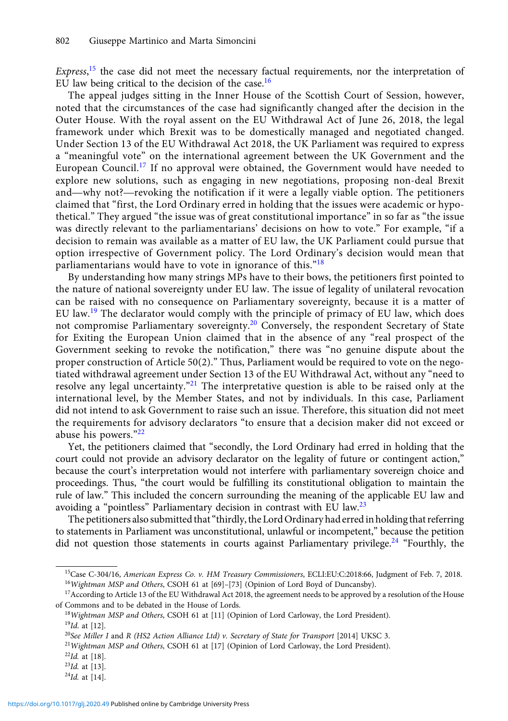Express,<sup>15</sup> the case did not meet the necessary factual requirements, nor the interpretation of EU law being critical to the decision of the case.<sup>16</sup>

The appeal judges sitting in the Inner House of the Scottish Court of Session, however, noted that the circumstances of the case had significantly changed after the decision in the Outer House. With the royal assent on the EU Withdrawal Act of June 26, 2018, the legal framework under which Brexit was to be domestically managed and negotiated changed. Under Section 13 of the EU Withdrawal Act 2018, the UK Parliament was required to express a "meaningful vote" on the international agreement between the UK Government and the European Council.<sup>17</sup> If no approval were obtained, the Government would have needed to explore new solutions, such as engaging in new negotiations, proposing non-deal Brexit onder section 15 of the EU withdrawal Act 2018, the UK Parhament was required to express<br>a "meaningful vote" on the international agreement between the UK Government and the<br>European Council.<sup>17</sup> If no approval were obtain claimed that "first, the Lord Ordinary erred in holding that the issues were academic or hypothetical." They argued "the issue was of great constitutional importance" in so far as "the issue was directly relevant to the parliamentarians' decisions on how to vote." For example, "if a decision to remain was available as a matter of EU law, the UK Parliament could pursue that option irrespective of Government policy. The Lord Ordinary's decision would mean that parliamentarians would have to vote in ignorance of this."<sup>18</sup>

By understanding how many strings MPs have to their bows, the petitioners first pointed to the nature of national sovereignty under EU law. The issue of legality of unilateral revocation can be raised with no consequence on Parliamentary sovereignty, because it is a matter of EU law.<sup>19</sup> The declarator would comply with the principle of primacy of EU law, which does not compromise Parliamentary sovereignty.<sup>20</sup> Conversely, the respondent Secretary of State for Exiting the European Union claimed that in the absence of any "real prospect of the Government seeking to revoke the notification," there was "no genuine dispute about the proper construction of Article 50(2)." Thus, Parliament would be required to vote on the negotiated withdrawal agreement under Section 13 of the EU Withdrawal Act, without any "need to resolve any legal uncertainty."<sup>21</sup> The interpretative question is able to be raised only at the international level, by the Member States, and not by individuals. In this case, Parliament did not intend to ask Government to raise such an issue. Therefore, this situation did not meet the requirements for advisory declarators "to ensure that a decision maker did not exceed or abuse his powers."<sup>22</sup>

Yet, the petitioners claimed that "secondly, the Lord Ordinary had erred in holding that the court could not provide an advisory declarator on the legality of future or contingent action," because the court's interpretation would not interfere with parliamentary sovereign choice and proceedings. Thus, "the court would be fulfilling its constitutional obligation to maintain the rule of law." This included the concern surrounding the meaning of the applicable EU law and avoiding a "pointless" Parliamentary decision in contrast with EU law.<sup>23</sup>

The petitioners also submitted that"thirdly, the Lord Ordinary had erred in holding that referring to statements in Parliament was unconstitutional, unlawful or incompetent," because the petition did not question those statements in courts against Parliamentary privilege.<sup>24</sup> "Fourthly, the

 $24$ *Id.* at [14].

<sup>15</sup>Case C-304/16, American Express Co. v. HM Treasury Commissioners, ECLI:EU:C:2018:66, Judgment of Feb. 7, 2018. <sup>16</sup>Wightman MSP and Others, CSOH 61 at [69]-[73] (Opinion of Lord Boyd of Duncansby).

<sup>&</sup>lt;sup>17</sup>According to Article 13 of the EU Withdrawal Act 2018, the agreement needs to be approved by a resolution of the House of Commons and to be debated in the House of Lords.

<sup>&</sup>lt;sup>18</sup>Wightman MSP and Others, CSOH 61 at [11] (Opinion of Lord Carloway, the Lord President).

 $^{19}$ Id. at [12].

<sup>20</sup>See Miller I and R (HS2 Action Alliance Ltd) v. Secretary of State for Transport [2014] UKSC 3.

<sup>&</sup>lt;sup>21</sup>Wightman MSP and Others, CSOH 61 at [17] (Opinion of Lord Carloway, the Lord President).

 $^{22}$ Id. at [18].

 $23$ Id. at [13].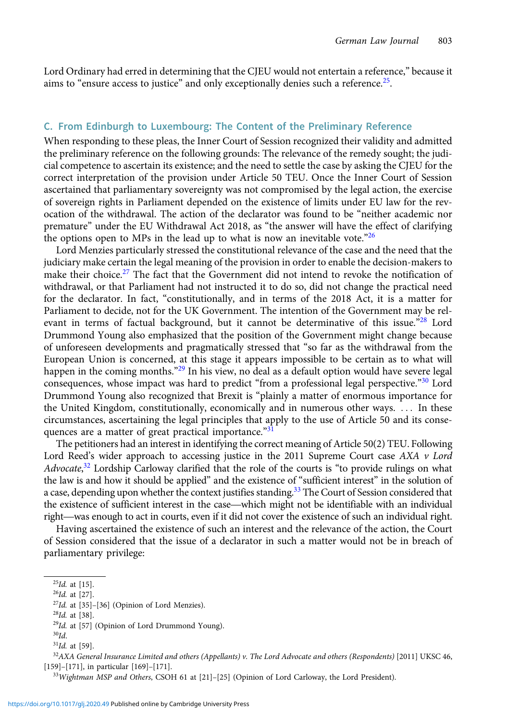Lord Ordinary had erred in determining that the CJEU would not entertain a reference," because it aims to "ensure access to justice" and only exceptionally denies such a reference. $25$ .

#### C. From Edinburgh to Luxembourg: The Content of the Preliminary Reference

When responding to these pleas, the Inner Court of Session recognized their validity and admitted the preliminary reference on the following grounds: The relevance of the remedy sought; the judicial competence to ascertain its existence; and the need to settle the case by asking the CJEU for the correct interpretation of the provision under Article 50 TEU. Once the Inner Court of Session ascertained that parliamentary sovereignty was not compromised by the legal action, the exercise of sovereign rights in Parliament depended on the existence of limits under EU law for the revocation of the withdrawal. The action of the declarator was found to be "neither academic nor premature" under the EU Withdrawal Act 2018, as "the answer will have the effect of clarifying the options open to MPs in the lead up to what is now an inevitable vote.<sup>"26</sup>

Lord Menzies particularly stressed the constitutional relevance of the case and the need that the judiciary make certain the legal meaning of the provision in order to enable the decision-makers to make their choice.<sup>27</sup> The fact that the Government did not intend to revoke the notification of withdrawal, or that Parliament had not instructed it to do so, did not change the practical need for the declarator. In fact, "constitutionally, and in terms of the 2018 Act, it is a matter for Parliament to decide, not for the UK Government. The intention of the Government may be relevant in terms of factual background, but it cannot be determinative of this issue."<sup>28</sup> Lord Drummond Young also emphasized that the position of the Government might change because of unforeseen developments and pragmatically stressed that "so far as the withdrawal from the European Union is concerned, at this stage it appears impossible to be certain as to what will happen in the coming months."<sup>29</sup> In his view, no deal as a default option would have severe legal consequences, whose impact was hard to predict "from a professional legal perspective."<sup>30</sup> Lord Drummond Young also recognized that Brexit is "plainly a matter of enormous importance for the United Kingdom, constitutionally, economically and in numerous other ways. ::: In these circumstances, ascertaining the legal principles that apply to the use of Article 50 and its consequences are a matter of great practical importance.<sup>"31</sup>

The petitioners had an interest in identifying the correct meaning of Article 50(2) TEU. Following Lord Reed's wider approach to accessing justice in the 2011 Supreme Court case  $AXA$  v Lord Advocate,<sup>32</sup> Lordship Carloway clarified that the role of the courts is "to provide rulings on what the law is and how it should be applied" and the existence of "sufficient interest" in the solution of a case, depending upon whether the context justifies standing.<sup>33</sup> The Court of Session considered that Lord Reed's wider approach to accessing justice in the 2011 supreme Court case  $AAA$   $V$  Lord  $Advoctte$ ,<sup>32</sup> Lordship Carloway clarified that the role of the courts is "to provide rulings on what the law is and how it should b *Aavocate*,<sup>2</sup> Lordship Carloway clarined that the role of the courts is to provide ruings on what the law is and how it should be applied" and the existence of "sufficient interest" in the solution of a case, depending up

Having ascertained the existence of such an interest and the relevance of the action, the Court of Session considered that the issue of a declarator in such a matter would not be in breach of parliamentary privilege:

 $^{25}$ Id. at [15].

 $26$ Id. at [27].

 $27$ Id. at [35]-[36] (Opinion of Lord Menzies).

 $28$ Id. at [38].

 $29$ Id. at [57] (Opinion of Lord Drummond Young).

 $30$ Id.

 $31$ Id. at [59].

 $32$ AXA General Insurance Limited and others (Appellants) v. The Lord Advocate and others (Respondents) [2011] UKSC 46, [159]–[171], in particular [169]–[171].

<sup>&</sup>lt;sup>33</sup>Wightman MSP and Others, CSOH 61 at [21]-[25] (Opinion of Lord Carloway, the Lord President).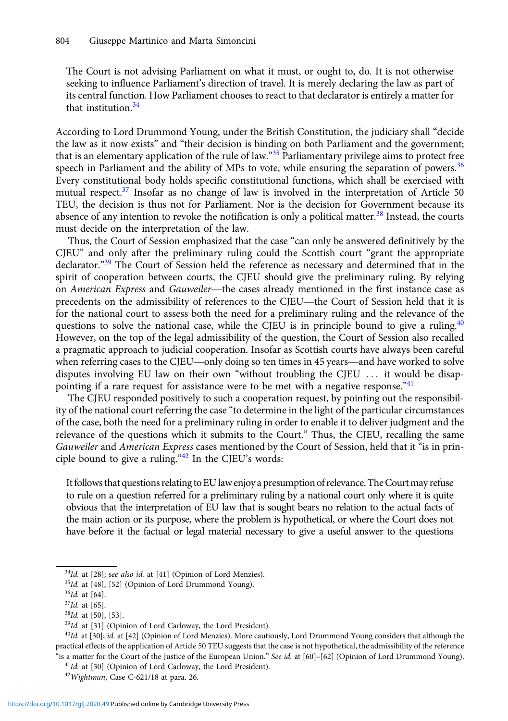The Court is not advising Parliament on what it must, or ought to, do. It is not otherwise seeking to influence Parliament's direction of travel. It is merely declaring the law as part of its central function. How Parliament chooses to react to that declarator is entirely a matter for that institution  $34$ 

According to Lord Drummond Young, under the British Constitution, the judiciary shall "decide the law as it now exists" and "their decision is binding on both Parliament and the government; that is an elementary application of the rule of law." $35$  Parliamentary privilege aims to protect free speech in Parliament and the ability of MPs to vote, while ensuring the separation of powers.<sup>36</sup> Every constitutional body holds specific constitutional functions, which shall be exercised with mutual respect. $37$  Insofar as no change of law is involved in the interpretation of Article 50 TEU, the decision is thus not for Parliament. Nor is the decision for Government because its absence of any intention to revoke the notification is only a political matter.<sup>38</sup> Instead, the courts must decide on the interpretation of the law.

Thus, the Court of Session emphasized that the case "can only be answered definitively by the CJEU" and only after the preliminary ruling could the Scottish court "grant the appropriate declarator."<sup>39</sup> The Court of Session held the reference as necessary and determined that in the spirit of cooperation between courts, the CJEU should give the preliminary ruling. By relying Thus, the Court of session emphasized that the case can omy be answered definitively by the CJEU" and only after the preliminary ruling could the Scottish court "grant the appropriate declarator."<sup>39</sup> The Court of Session CJEU and omy after the prefilminary ruling could the scottish court grant the appropriate declarator."<sup>39</sup> The Court of Session held the reference as necessary and determined that in the spirit of cooperation between court for the national court to assess both the need for a preliminary ruling and the relevance of the questions to solve the national case, while the CJEU is in principle bound to give a ruling.<sup>40</sup> However, on the top of the legal admissibility of the question, the Court of Session also recalled a pragmatic approach to judicial cooperation. Insofar as Scottish courts have always been careful for the national court to assess both the need for a preliminary ruling and the refevance of the questions to solve the national case, while the CJEU is in principle bound to give a ruling.<sup>46</sup> However, on the top of the l disputes involving EU law on their own "without troubling the CJEU ... it would be disappointing if a rare request for assistance were to be met with a negative response. $^{41}$ 

The CJEU responded positively to such a cooperation request, by pointing out the responsibility of the national court referring the case "to determine in the light of the particular circumstances of the case, both the need for a preliminary ruling in order to enable it to deliver judgment and the relevance of the questions which it submits to the Court." Thus, the CJEU, recalling the same Gauweiler and American Express cases mentioned by the Court of Session, held that it "is in principle bound to give a ruling."<sup>42</sup> In the CJEU's words:

Itfollows that questions relating to EU law enjoy a presumption of relevance. The Courtmay refuse to rule on a question referred for a preliminary ruling by a national court only where it is quite obvious that the interpretation of EU law that is sought bears no relation to the actual facts of the main action or its purpose, where the problem is hypothetical, or where the Court does not have before it the factual or legal material necessary to give a useful answer to the questions

<sup>40</sup>Id. at [30]; id. at [42] (Opinion of Lord Menzies). More cautiously, Lord Drummond Young considers that although the practical effects of the application of Article 50 TEU suggests that the case is not hypothetical, the admissibility of the reference "is a matter for the Court of the Justice of the European Union." See id. at [60]-[62] (Opinion of Lord Drummond Young).

<sup>41</sup>Id. at [30] (Opinion of Lord Carloway, the Lord President).

 $34$ Id. at [28]; see also id. at [41] (Opinion of Lord Menzies).

<sup>&</sup>lt;sup>35</sup>Id. at [48], [52] (Opinion of Lord Drummond Young).

 $36$ Id. at [64].

 $37$ Id. at [65].

<sup>38</sup>Id. at [50], [53].

<sup>&</sup>lt;sup>39</sup>Id. at [31] (Opinion of Lord Carloway, the Lord President).

<sup>&</sup>lt;sup>42</sup>Wightman, Case C-621/18 at para. 26.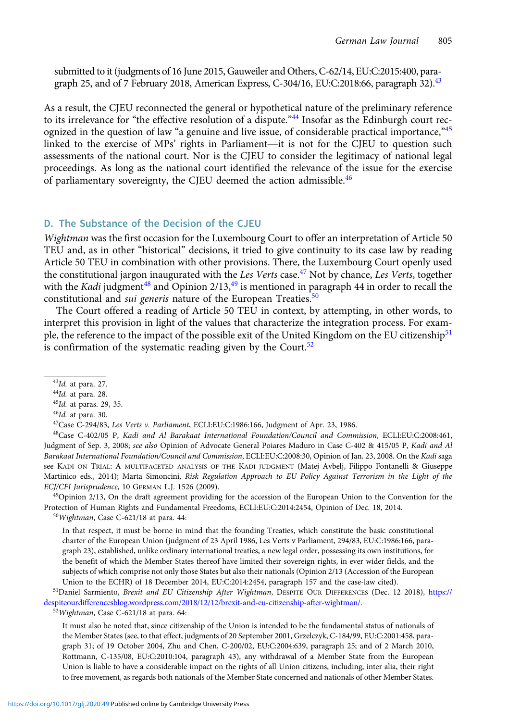submitted to it (judgments of 16 June 2015, Gauweiler and Others, C-62/14, EU:C:2015:400, paragraph 25, and of 7 February 2018, American Express, C-304/16, EU:C:2018:66, paragraph 32).<sup>43</sup>

As a result, the CJEU reconnected the general or hypothetical nature of the preliminary reference to its irrelevance for "the effective resolution of a dispute."<sup>44</sup> Insofar as the Edinburgh court recognized in the question of law "a genuine and live issue, of considerable practical importance, $45$ As a result, the CJEU reconnected the general or hypothetical nature of the preliminary reference<br>to its irrelevance for "the effective resolution of a dispute."<sup>44</sup> Insofar as the Edinburgh court rec-<br>ognized in the quest assessments of the national court. Nor is the CJEU to consider the legitimacy of national legal proceedings. As long as the national court identified the relevance of the issue for the exercise of parliamentary sovereignty, the CJEU deemed the action admissible.<sup>46</sup>

### D. The Substance of the Decision of the CJEU

Wightman was the first occasion for the Luxembourg Court to offer an interpretation of Article 50 TEU and, as in other "historical" decisions, it tried to give continuity to its case law by reading Article 50 TEU in combination with other provisions. There, the Luxembourg Court openly used the constitutional jargon inaugurated with the Les Verts case.<sup>47</sup> Not by chance, Les Verts, together with the Kadi judgment<sup>48</sup> and Opinion  $2/13$ ,<sup>49</sup> is mentioned in paragraph 44 in order to recall the constitutional and *sui generis* nature of the European Treaties.<sup>50</sup>

The Court offered a reading of Article 50 TEU in context, by attempting, in other words, to interpret this provision in light of the values that characterize the integration process. For example, the reference to the impact of the possible exit of the United Kingdom on the EU citizenship<sup>51</sup> is confirmation of the systematic reading given by the Court. $52$ 

- $44$ Id. at para. 28.
- $45$ Id. at paras. 29, 35.

48Case C-402/05 P, Kadi and Al Barakaat International Foundation/Council and Commission, ECLI:EU:C:2008:461, Judgment of Sep. 3, 2008; see also Opinion of Advocate General Poiares Maduro in Case C-402 & 415/05 P, Kadi and Al Barakaat International Foundation/Council and Commission, ECLI:EU:C:2008:30, Opinion of Jan. 23, 2008. On the Kadi saga see KADI ON TRIAL: A MULTIFACETED ANALYSIS OF THE KADI JUDGMENT (Matej Avbelj, Filippo Fontanelli & Giuseppe Martinico eds., 2014); Marta Simoncini, Risk Regulation Approach to EU Policy Against Terrorism in the Light of the ECJ/CFI Jurisprudence, 10 GERMAN L.J. 1526 (2009).

<sup>49</sup>Opinion 2/13, On the draft agreement providing for the accession of the European Union to the Convention for the Protection of Human Rights and Fundamental Freedoms, ECLI:EU:C:2014:2454, Opinion of Dec. 18, 2014. <sup>50</sup>Wightman, Case C-621/18 at para. 44:

In that respect, it must be borne in mind that the founding Treaties, which constitute the basic constitutional charter of the European Union (judgment of 23 April 1986, Les Verts v Parliament, 294/83, EU:C:1986:166, paragraph 23), established, unlike ordinary international treaties, a new legal order, possessing its own institutions, for the benefit of which the Member States thereof have limited their sovereign rights, in ever wider fields, and the subjects of which comprise not only those States but also their nationals (Opinion 2/13 (Accession of the European Union to the ECHR) of 18 December 2014, EU:C:2014:2454, paragraph 157 and the case-law cited).

<sup>51</sup>Daniel Sarmiento, Brexit and EU Citizenship After Wightman, DESPITE OUR DIFFERENCES (Dec. 12 2018), [https://](https://despiteourdifferencesblog.wordpress.com/2018/12/12/brexit-and-eu-citizenship-after-wightman/) [despiteourdifferencesblog.wordpress.com/2018/12/12/brexit-and-eu-citizenship-after-wightman/.](https://despiteourdifferencesblog.wordpress.com/2018/12/12/brexit-and-eu-citizenship-after-wightman/)

<sup>52</sup>Wightman, Case C-621/18 at para. 64:

It must also be noted that, since citizenship of the Union is intended to be the fundamental status of nationals of the Member States (see, to that effect, judgments of 20 September 2001, Grzelczyk, C-184/99, EU:C:2001:458, paragraph 31; of 19 October 2004, Zhu and Chen, C-200/02, EU:C:2004:639, paragraph 25; and of 2 March 2010, Rottmann, C-135/08, EU:C:2010:104, paragraph 43), any withdrawal of a Member State from the European Union is liable to have a considerable impact on the rights of all Union citizens, including, inter alia, their right to free movement, as regards both nationals of the Member State concerned and nationals of other Member States.

<sup>43</sup>Id. at para. 27.

<sup>46</sup>Id. at para. 30.

<sup>&</sup>lt;sup>47</sup>Case C-294/83, Les Verts v. Parliament, ECLI:EU:C:1986:166, Judgment of Apr. 23, 1986.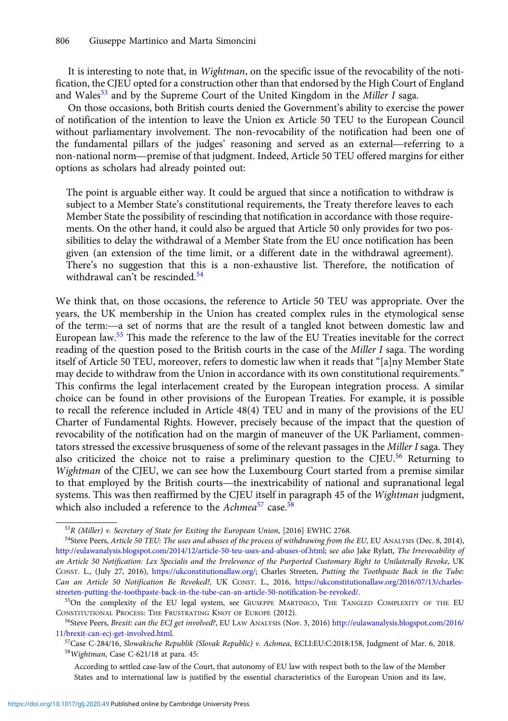It is interesting to note that, in *Wightman*, on the specific issue of the revocability of the notification, the CJEU opted for a construction other than that endorsed by the High Court of England and Wales<sup>53</sup> and by the Supreme Court of the United Kingdom in the Miller I saga.

On those occasions, both British courts denied the Government's ability to exercise the power of notification of the intention to leave the Union ex Article 50 TEU to the European Council without parliamentary involvement. The non-revocability of the notification had been one of and wates and by the supreme Court of the United Kingdom in the *Mitter 1* saga.<br>On those occasions, both British courts denied the Government's ability to exercise the power<br>of notification of the intention to leave the U on those occasions, both British courts defiled the Government's ability to exercise the power<br>of notification of the intention to leave the Union ex Article 50 TEU to the European Council<br>without parliamentary involvement options as scholars had already pointed out:

The point is arguable either way. It could be argued that since a notification to withdraw is subject to a Member State's constitutional requirements, the Treaty therefore leaves to each Member State the possibility of rescinding that notification in accordance with those requirements. On the other hand, it could also be argued that Article 50 only provides for two possibilities to delay the withdrawal of a Member State from the EU once notification has been given (an extension of the time limit, or a different date in the withdrawal agreement). There's no suggestion that this is a non-exhaustive list. Therefore, the notification of withdrawal can't be rescinded.<sup>54</sup>

We think that, on those occasions, the reference to Article 50 TEU was appropriate. Over the years, the UK membership in the Union has created complex rules in the etymological sense We think that, on those occasions, the reference to Article 50 TEU was appropriate. Over the years, the UK membership in the Union has created complex rules in the etymological sense of the term:—a set of norms that are th European law.<sup>55</sup> This made the reference to the law of the EU Treaties inevitable for the correct reading of the question posed to the British courts in the case of the Miller I saga. The wording itself of Article 50 TEU, moreover, refers to domestic law when it reads that "[a]ny Member State may decide to withdraw from the Union in accordance with its own constitutional requirements." This confirms the legal interlacement created by the European integration process. A similar choice can be found in other provisions of the European Treaties. For example, it is possible to recall the reference included in Article 48(4) TEU and in many of the provisions of the EU Charter of Fundamental Rights. However, precisely because of the impact that the question of revocability of the notification had on the margin of maneuver of the UK Parliament, commentators stressed the excessive brusqueness of some of the relevant passages in the Miller I saga. They also criticized the choice not to raise a preliminary question to the CJEU.<sup>56</sup> Returning to Wightman of the CJEU, we can see how the Luxembourg Court started from a premise similar revocability of the notincation had on the margin of maneuver of the UK Parnament, commen-<br>tators stressed the excessive brusqueness of some of the relevant passages in the *Miller I* saga. They<br>also criticized the choice systems. This was then reaffirmed by the CJEU itself in paragraph 45 of the Wightman judgment, which also included a reference to the Achmea<sup>57</sup> case.<sup>58</sup>

<sup>53</sup>R (Miller) v. Secretary of State for Exiting the European Union, [2016] EWHC 2768.

<sup>&</sup>lt;sup>54</sup>Steve Peers, Article 50 TEU: The uses and abuses of the process of withdrawing from the EU, EU ANALYSIS (Dec. 8, 2014), <http://eulawanalysis.blogspot.com/2014/12/article-50-teu-uses-and-abuses-of.html>; see also Jake Rylatt, The Irrevocability of an Article 50 Notification: Lex Specialis and the Irrelevance of the Purported Customary Right to Unilaterally Revoke, UK CONST. L., (July 27, 2016), <https://ukconstitutionallaw.org/>; Charles Streeten, Putting the Toothpaste Back in the Tube: Can an Article 50 Notification Be Revoked?, UK CONST. L., 2016, [https://ukconstitutionallaw.org/2016/07/13/charles](https://ukconstitutionallaw.org/2016/07/13/charles-streeten-putting-the-toothpaste-back-in-the-tube-can-an-article-50-notification-be-revoked/)[streeten-putting-the-toothpaste-back-in-the-tube-can-an-article-50-notification-be-revoked/.](https://ukconstitutionallaw.org/2016/07/13/charles-streeten-putting-the-toothpaste-back-in-the-tube-can-an-article-50-notification-be-revoked/)

<sup>&</sup>lt;sup>55</sup>On the complexity of the EU legal system, see GIUSEPPE MARTINICO, THE TANGLED COMPLEXITY OF THE EU CONSTITUTIONAL PROCESS: THE FRUSTRATING KNOT OF EUROPE (2012).

<sup>56</sup>Steve Peers, Brexit: can the ECJ get involved?, EU LAW ANALYSIS (Nov. 3, 2016) [http://eulawanalysis.blogspot.com/2016/](http://eulawanalysis.blogspot.com/2016/11/brexit-can-ecj-get-involved.html) [11/brexit-can-ecj-get-involved.html](http://eulawanalysis.blogspot.com/2016/11/brexit-can-ecj-get-involved.html).

<sup>57</sup>Case C-284/16, Slowakische Republik (Slovak Republic) v. Achmea, ECLI:EU:C:2018:158, Judgment of Mar. 6, 2018. <sup>58</sup>Wightman, Case C-621/18 at para. 45:

According to settled case-law of the Court, that autonomy of EU law with respect both to the law of the Member States and to international law is justified by the essential characteristics of the European Union and its law,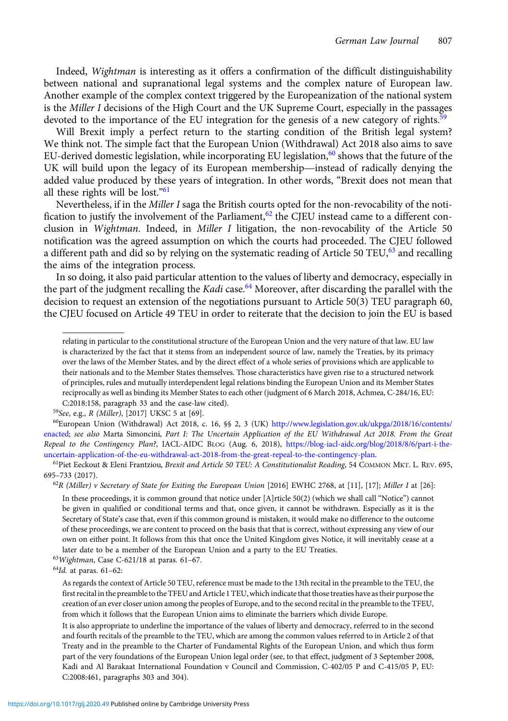Indeed, Wightman is interesting as it offers a confirmation of the difficult distinguishability between national and supranational legal systems and the complex nature of European law. Another example of the complex context triggered by the Europeanization of the national system is the Miller I decisions of the High Court and the UK Supreme Court, especially in the passages devoted to the importance of the EU integration for the genesis of a new category of rights.<sup>59</sup>

Will Brexit imply a perfect return to the starting condition of the British legal system? We think not. The simple fact that the European Union (Withdrawal) Act 2018 also aims to save EU-derived domestic legislation, while incorporating EU legislation,<sup>60</sup> shows that the future of the UK will Brexit imply a perfect return to the starting condition of the British legal system?<br>We think not. The simple fact that the European Union (Withdrawal) Act 2018 also aims to save<br>EU-derived domestic legislation, wh added value produced by these years of integration. In other words, "Brexit does not mean that all these rights will be lost." $61$ 

Nevertheless, if in the *Miller I* saga the British courts opted for the non-revocability of the notification to justify the involvement of the Parliament,<sup>62</sup> the CJEU instead came to a different conclusion in *Wightman*. Indeed, in *Miller I* litigation, the non-revocability of the Article 50 notification was the agreed assumption on which the courts had proceeded. The CJEU followed a different path and did so by relying on the systematic reading of Article 50  $TEU<sub>0</sub><sup>63</sup>$  and recalling the aims of the integration process.

In so doing, it also paid particular attention to the values of liberty and democracy, especially in the part of the judgment recalling the Kadi case.<sup>64</sup> Moreover, after discarding the parallel with the decision to request an extension of the negotiations pursuant to Article 50(3) TEU paragraph 60, the CJEU focused on Article 49 TEU in order to reiterate that the decision to join the EU is based

 $64$ Id. at paras. 61-62:

relating in particular to the constitutional structure of the European Union and the very nature of that law. EU law is characterized by the fact that it stems from an independent source of law, namely the Treaties, by its primacy over the laws of the Member States, and by the direct effect of a whole series of provisions which are applicable to their nationals and to the Member States themselves. Those characteristics have given rise to a structured network of principles, rules and mutually interdependent legal relations binding the European Union and its Member States reciprocally as well as binding its Member States to each other (judgment of 6 March 2018, Achmea, C-284/16, EU: C:2018:158, paragraph 33 and the case-law cited).

<sup>59</sup>See, e.g., R (Miller), [2017] UKSC 5 at [69].

 $^{60}$ European Union (Withdrawal) Act 2018, c. 16, §§ 2, 3 (UK) [http://www.legislation.gov.uk/ukpga/2018/16/contents/](http://www.legislation.gov.uk/ukpga/2018/16/contents/enacted) [enacted;](http://www.legislation.gov.uk/ukpga/2018/16/contents/enacted) see also Marta Simoncini, Part I: The Uncertain Application of the EU Withdrawal Act 2018. From the Great Repeal to the Contingency Plan?, IACL-AIDC BLOG (Aug. 6, 2018), [https://blog-iacl-aidc.org/blog/2018/8/6/part-i-the](https://blog-iacl-aidc.org/blog/2018/8/6/part-i-the-uncertain-application-of-the-eu-withdrawal-act-2018-from-the-great-repeal-to-the-contingency-plan)[uncertain-application-of-the-eu-withdrawal-act-2018-from-the-great-repeal-to-the-contingency-plan](https://blog-iacl-aidc.org/blog/2018/8/6/part-i-the-uncertain-application-of-the-eu-withdrawal-act-2018-from-the-great-repeal-to-the-contingency-plan).

<sup>61</sup>Piet Eeckout & Eleni Frantziou, Brexit and Article 50 TEU: A Constitutionalist Reading, 54 COMMON MKT. L. REV. 695, 695–733 (2017).

 $^{62}R$  (Miller) v Secretary of State for Exiting the European Union [2016] EWHC 2768, at [11], [17]; Miller I at [26]:

In these proceedings, it is common ground that notice under [A]rticle 50(2) (which we shall call "Notice") cannot be given in qualified or conditional terms and that, once given, it cannot be withdrawn. Especially as it is the Secretary of State's case that, even if this common ground is mistaken, it would make no difference to the outcome of these proceedings, we are content to proceed on the basis that that is correct, without expressing any view of our own on either point. It follows from this that once the United Kingdom gives Notice, it will inevitably cease at a later date to be a member of the European Union and a party to the EU Treaties.

<sup>63</sup>Wightman, Case C-621/18 at paras. 61–67.

As regards the context of Article 50 TEU, reference must be made to the 13th recital in the preamble to the TEU, the first recital in the preamble to the TFEU and Article 1 TEU, which indicate that those treaties have as their purpose the creation of an ever closer union among the peoples of Europe, and to the second recital in the preamble to the TFEU, from which it follows that the European Union aims to eliminate the barriers which divide Europe.

It is also appropriate to underline the importance of the values of liberty and democracy, referred to in the second and fourth recitals of the preamble to the TEU, which are among the common values referred to in Article 2 of that Treaty and in the preamble to the Charter of Fundamental Rights of the European Union, and which thus form part of the very foundations of the European Union legal order (see, to that effect, judgment of 3 September 2008, Kadi and Al Barakaat International Foundation v Council and Commission, C-402/05 P and C-415/05 P, EU: C:2008:461, paragraphs 303 and 304).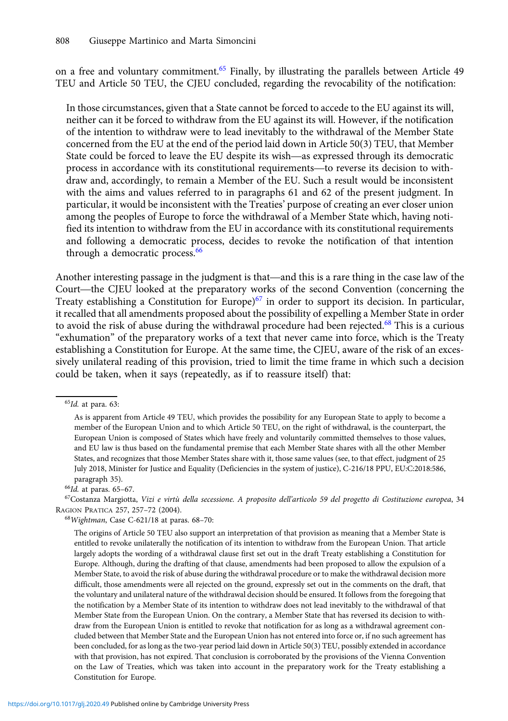on a free and voluntary commitment.<sup>65</sup> Finally, by illustrating the parallels between Article 49 TEU and Article 50 TEU, the CJEU concluded, regarding the revocability of the notification:

In those circumstances, given that a State cannot be forced to accede to the EU against its will, neither can it be forced to withdraw from the EU against its will. However, if the notification of the intention to withdraw were to lead inevitably to the withdrawal of the Member State concerned from the EU at the end of the period laid down in Article 50(3) TEU, that Member In those circumstances, given that a state cannot be forced to accede to the EU against its will, neither can it be forced to withdraw from the EU against its will. However, if the notification of the intention to withdraw process in accordance with its constitutional requirements—to reverse its decision to with-<br>process in accordance with its constitutional requirements—to reverse its democratic<br>process in accordance with its constitutional draw and, accordingly, to remain a Member of the EU. Such a result would be inconsistent with the aims and values referred to in paragraphs 61 and 62 of the present judgment. In particular, it would be inconsistent with the Treaties' purpose of creating an ever closer union among the peoples of Europe to force the withdrawal of a Member State which, having notified its intention to withdraw from the EU in accordance with its constitutional requirements and following a democratic process, decides to revoke the notification of that intention through a democratic process.<sup>66</sup>

Another interesting passage in the judgment is that—and this is a rare thing in the case law of the Court—the CJEU looked at the preparatory works of the second Convention (concerning the Treaty establishing a Constitution for Europe)<sup>67</sup> in order to support its decision. In particular, it recalled that all amendments proposed about the possibility of expelling a Member State in order to avoid the risk of abuse during the withdrawal procedure had been rejected.<sup>68</sup> This is a curious "exhumation" of the preparatory works of a text that never came into force, which is the Treaty establishing a Constitution for Europe. At the same time, the CJEU, aware of the risk of an excessively unilateral reading of this provision, tried to limit the time frame in which such a decision could be taken, when it says (repeatedly, as if to reassure itself) that:

 $66Id.$  at paras. 65-67.

67Costanza Margiotta, Vizi e virtù della secessione. A proposito dell'articolo 59 del progetto di Costituzione europea, 34 RAGION PRATICA 257, 257–72 (2004).

<sup>68</sup>Wightman, Case C-621/18 at paras. 68–70:

 $65$ Id. at para. 63:

As is apparent from Article 49 TEU, which provides the possibility for any European State to apply to become a member of the European Union and to which Article 50 TEU, on the right of withdrawal, is the counterpart, the European Union is composed of States which have freely and voluntarily committed themselves to those values, and EU law is thus based on the fundamental premise that each Member State shares with all the other Member States, and recognizes that those Member States share with it, those same values (see, to that effect, judgment of 25 July 2018, Minister for Justice and Equality (Deficiencies in the system of justice), C-216/18 PPU, EU:C:2018:586, paragraph 35).

The origins of Article 50 TEU also support an interpretation of that provision as meaning that a Member State is entitled to revoke unilaterally the notification of its intention to withdraw from the European Union. That article largely adopts the wording of a withdrawal clause first set out in the draft Treaty establishing a Constitution for Europe. Although, during the drafting of that clause, amendments had been proposed to allow the expulsion of a Member State, to avoid the risk of abuse during the withdrawal procedure or to make the withdrawal decision more difficult, those amendments were all rejected on the ground, expressly set out in the comments on the draft, that the voluntary and unilateral nature of the withdrawal decision should be ensured. It follows from the foregoing that the notification by a Member State of its intention to withdraw does not lead inevitably to the withdrawal of that Member State from the European Union. On the contrary, a Member State that has reversed its decision to withdraw from the European Union is entitled to revoke that notification for as long as a withdrawal agreement concluded between that Member State and the European Union has not entered into force or, if no such agreement has been concluded, for as long as the two-year period laid down in Article 50(3) TEU, possibly extended in accordance with that provision, has not expired. That conclusion is corroborated by the provisions of the Vienna Convention on the Law of Treaties, which was taken into account in the preparatory work for the Treaty establishing a Constitution for Europe.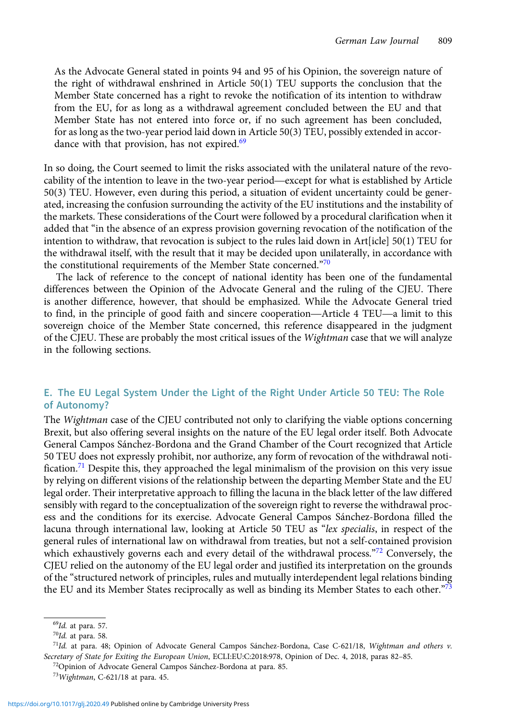As the Advocate General stated in points 94 and 95 of his Opinion, the sovereign nature of the right of withdrawal enshrined in Article 50(1) TEU supports the conclusion that the Member State concerned has a right to revoke the notification of its intention to withdraw from the EU, for as long as a withdrawal agreement concluded between the EU and that Member State has not entered into force or, if no such agreement has been concluded, for as long as the two-year period laid down in Article 50(3) TEU, possibly extended in accordance with that provision, has not expired.<sup>69</sup>

In so doing, the Court seemed to limit the risks associated with the unilateral nature of the revocability of the intention to leave in the two-year period—except for what is established by Article 50(3) TEU. However, even during this period, a situation of evident uncertainty could be generated, increasing the confusion surrounding the activity of the EU institutions and the instability of the markets. These considerations of the Court were followed by a procedural clarification when it added that "in the absence of an express provision governing revocation of the notification of the intention to withdraw, that revocation is subject to the rules laid down in Art[icle] 50(1) TEU for the withdrawal itself, with the result that it may be decided upon unilaterally, in accordance with the constitutional requirements of the Member State concerned."70

The lack of reference to the concept of national identity has been one of the fundamental differences between the Opinion of the Advocate General and the ruling of the CJEU. There is another difference, however, that should be emphasized. While the Advocate General tried the constitutional requirements of the Member State concerned.<br>The lack of reference to the concept of national identity has been one of the fundamental<br>differences between the Opinion of the Advocate General and the rulin sovereign choice of the Member State concerned, this reference disappeared in the judgment of the CJEU. These are probably the most critical issues of the Wightman case that we will analyze in the following sections.

## E. The EU Legal System Under the Light of the Right Under Article 50 TEU: The Role of Autonomy?

The Wightman case of the CJEU contributed not only to clarifying the viable options concerning Brexit, but also offering several insights on the nature of the EU legal order itself. Both Advocate General Campos Sánchez-Bordona and the Grand Chamber of the Court recognized that Article 50 TEU does not expressly prohibit, nor authorize, any form of revocation of the withdrawal notification.<sup>71</sup> Despite this, they approached the legal minimalism of the provision on this very issue by relying on different visions of the relationship between the departing Member State and the EU legal order. Their interpretative approach to filling the lacuna in the black letter of the law differed sensibly with regard to the conceptualization of the sovereign right to reverse the withdrawal process and the conditions for its exercise. Advocate General Campos Sánchez-Bordona filled the lacuna through international law, looking at Article 50 TEU as "lex specialis, in respect of the general rules of international law on withdrawal from treaties, but not a self-contained provision which exhaustively governs each and every detail of the withdrawal process."<sup>72</sup> Conversely, the CJEU relied on the autonomy of the EU legal order and justified its interpretation on the grounds of the "structured network of principles, rules and mutually interdependent legal relations binding the EU and its Member States reciprocally as well as binding its Member States to each other. $^{73}$ 

<sup>69</sup>Id. at para. 57.

<sup>70</sup>Id. at para. 58.

<sup>&</sup>lt;sup>71</sup>Id. at para. 48; Opinion of Advocate General Campos Sánchez-Bordona, Case C-621/18, Wightman and others v. Secretary of State for Exiting the European Union, ECLI:EU:C:2018:978, Opinion of Dec. 4, 2018, paras 82–85.

<sup>72</sup>Opinion of Advocate General Campos Sánchez-Bordona at para. 85.

 $73W$ ightman, C-621/18 at para. 45.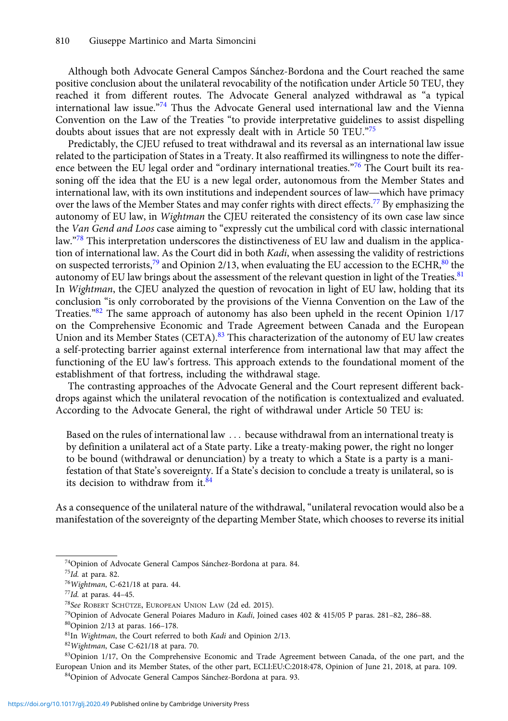Although both Advocate General Campos Sánchez-Bordona and the Court reached the same positive conclusion about the unilateral revocability of the notification under Article 50 TEU, they reached it from different routes. The Advocate General analyzed withdrawal as "a typical international law issue."<sup>74</sup> Thus the Advocate General used international law and the Vienna Convention on the Law of the Treaties "to provide interpretative guidelines to assist dispelling doubts about issues that are not expressly dealt with in Article 50 TEU."75

Predictably, the CJEU refused to treat withdrawal and its reversal as an international law issue related to the participation of States in a Treaty. It also reaffirmed its willingness to note the difference between the EU legal order and "ordinary international treaties."<sup>76</sup> The Court built its reasoning off the idea that the EU is a new legal order, autonomous from the Member States and Fredictably, the CJEU refused to treat withdrawal and its reversal as an international law issue<br>related to the participation of States in a Treaty. It also reaffirmed its willingness to note the differ-<br>ence between the E over the laws of the Member States and may confer rights with direct effects.<sup>77</sup> By emphasizing the autonomy of EU law, in Wightman the CJEU reiterated the consistency of its own case law since the Van Gend and Loos case aiming to "expressly cut the umbilical cord with classic international law."<sup>78</sup> This interpretation underscores the distinctiveness of EU law and dualism in the application of international law. As the Court did in both *Kadi*, when assessing the validity of restrictions on suspected terrorists, $79$  and Opinion 2/13, when evaluating the EU accession to the ECHR, $80$  the autonomy of EU law brings about the assessment of the relevant question in light of the Treaties.<sup>81</sup> In *Wightman*, the CJEU analyzed the question of revocation in light of EU law, holding that its conclusion "is only corroborated by the provisions of the Vienna Convention on the Law of the Treaties."<sup>82</sup> The same approach of autonomy has also been upheld in the recent Opinion 1/17 on the Comprehensive Economic and Trade Agreement between Canada and the European Union and its Member States (CETA).<sup>83</sup> This characterization of the autonomy of EU law creates a self-protecting barrier against external interference from international law that may affect the functioning of the EU law's fortress. This approach extends to the foundational moment of the establishment of that fortress, including the withdrawal stage.

The contrasting approaches of the Advocate General and the Court represent different backdrops against which the unilateral revocation of the notification is contextualized and evaluated. According to the Advocate General, the right of withdrawal under Article 50 TEU is:

Based on the rules of international law ... because withdrawal from an international treaty is by definition a unilateral act of a State party. Like a treaty-making power, the right no longer to be bound (withdrawal or denunciation) by a treaty to which a State is a party is a manifestation of that State's sovereignty. If a State's decision to conclude a treaty is unilateral, so is its decision to withdraw from it. $84$ 

As a consequence of the unilateral nature of the withdrawal, "unilateral revocation would also be a manifestation of the sovereignty of the departing Member State, which chooses to reverse its initial

<sup>&</sup>lt;sup>74</sup>Opinion of Advocate General Campos Sánchez-Bordona at para. 84.

<sup>75</sup>Id. at para. 82.

<sup>76</sup>Wightman, C-621/18 at para. 44.

<sup>77</sup>Id. at paras. 44–45.

<sup>78</sup>See ROBERT SCHÜTZE, EUROPEAN UNION LAW (2d ed. 2015).

<sup>79</sup>Opinion of Advocate General Poiares Maduro in Kadi, Joined cases 402 & 415/05 P paras. 281–82, 286–88.

<sup>80</sup>Opinion 2/13 at paras. 166–178.

<sup>81</sup>In Wightman, the Court referred to both Kadi and Opinion 2/13.

<sup>82</sup>Wightman, Case C-621/18 at para. 70.

<sup>83</sup>Opinion 1/17, On the Comprehensive Economic and Trade Agreement between Canada, of the one part, and the European Union and its Member States, of the other part, ECLI:EU:C:2018:478, Opinion of June 21, 2018, at para. 109.

<sup>84</sup>Opinion of Advocate General Campos Sánchez-Bordona at para. 93.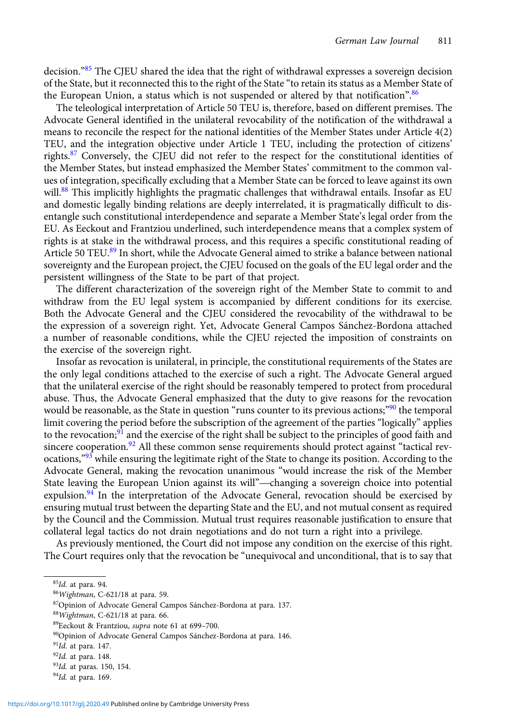decision."<sup>85</sup> The CJEU shared the idea that the right of withdrawal expresses a sovereign decision of the State, but it reconnected this to the right of the State "to retain its status as a Member State of the European Union, a status which is not suspended or altered by that notification".  $86$ 

The teleological interpretation of Article 50 TEU is, therefore, based on different premises. The Advocate General identified in the unilateral revocability of the notification of the withdrawal a means to reconcile the respect for the national identities of the Member States under Article 4(2) TEU, and the integration objective under Article 1 TEU, including the protection of citizens' rights.<sup>87</sup> Conversely, the CJEU did not refer to the respect for the constitutional identities of the Member States, but instead emphasized the Member States' commitment to the common values of integration, specifically excluding that a Member State can be forced to leave against its own will.<sup>88</sup> This implicitly highlights the pragmatic challenges that withdrawal entails. Insofar as EU and domestic legally binding relations are deeply interrelated, it is pragmatically difficult to disentangle such constitutional interdependence and separate a Member State's legal order from the EU. As Eeckout and Frantziou underlined, such interdependence means that a complex system of rights is at stake in the withdrawal process, and this requires a specific constitutional reading of Article 50 TEU.<sup>89</sup> In short, while the Advocate General aimed to strike a balance between national sovereignty and the European project, the CJEU focused on the goals of the EU legal order and the persistent willingness of the State to be part of that project.

The different characterization of the sovereign right of the Member State to commit to and withdraw from the EU legal system is accompanied by different conditions for its exercise. Both the Advocate General and the CJEU considered the revocability of the withdrawal to be the expression of a sovereign right. Yet, Advocate General Campos Sánchez-Bordona attached a number of reasonable conditions, while the CJEU rejected the imposition of constraints on the exercise of the sovereign right.

Insofar as revocation is unilateral, in principle, the constitutional requirements of the States are the only legal conditions attached to the exercise of such a right. The Advocate General argued that the unilateral exercise of the right should be reasonably tempered to protect from procedural abuse. Thus, the Advocate General emphasized that the duty to give reasons for the revocation would be reasonable, as the State in question "runs counter to its previous actions;"<sup>90</sup> the temporal limit covering the period before the subscription of the agreement of the parties "logically" applies to the revocation;<sup>91</sup> and the exercise of the right shall be subject to the principles of good faith and to the revocation;<sup>5</sup> and the exercise of the right shall be subject to the principles of good faith and sincere cooperation.<sup>92</sup> All these common sense requirements should protect against "tactical rev-<br>ocations,<sup>993</sup> whi ocations,"<sup>93</sup> while ensuring the legitimate right of the State to change its position. According to the Advocate General, making the revocation unanimous "would increase the risk of the Member expulsion.<sup>94</sup> In the interpretation of the Advocate General, revocation should be exercised by ensuring mutual trust between the departing State and the EU, and not mutual consent as required by the Council and the Commission. Mutual trust requires reasonable justification to ensure that collateral legal tactics do not drain negotiations and do not turn a right into a privilege.

As previously mentioned, the Court did not impose any condition on the exercise of this right. The Court requires only that the revocation be "unequivocal and unconditional, that is to say that

<sup>&</sup>lt;sup>85</sup>Id. at para. 94.

<sup>86</sup>Wightman, C-621/18 at para. 59.

<sup>87</sup>Opinion of Advocate General Campos Sánchez-Bordona at para. 137.

<sup>88</sup>Wightman, C-621/18 at para. 66.

<sup>89</sup>Eeckout & Frantziou, supra note 61 at 699–700.

<sup>90</sup>Opinion of Advocate General Campos Sánchez-Bordona at para. 146.

 $91$ Id. at para. 147.

 $92$ Id. at para. 148.

<sup>93</sup>Id. at paras. 150, 154.

<sup>&</sup>lt;sup>94</sup>Id. at para. 169.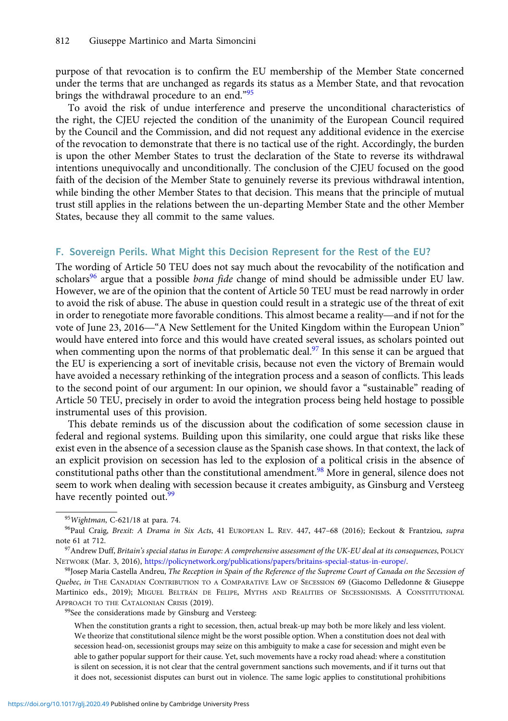purpose of that revocation is to confirm the EU membership of the Member State concerned under the terms that are unchanged as regards its status as a Member State, and that revocation brings the withdrawal procedure to an end."<sup>95</sup>

To avoid the risk of undue interference and preserve the unconditional characteristics of the right, the CJEU rejected the condition of the unanimity of the European Council required by the Council and the Commission, and did not request any additional evidence in the exercise of the revocation to demonstrate that there is no tactical use of the right. Accordingly, the burden is upon the other Member States to trust the declaration of the State to reverse its withdrawal intentions unequivocally and unconditionally. The conclusion of the CJEU focused on the good faith of the decision of the Member State to genuinely reverse its previous withdrawal intention, while binding the other Member States to that decision. This means that the principle of mutual trust still applies in the relations between the un-departing Member State and the other Member States, because they all commit to the same values.

#### F. Sovereign Perils. What Might this Decision Represent for the Rest of the EU?

The wording of Article 50 TEU does not say much about the revocability of the notification and In the wording of Article 50 TEO does not say much about the revocability of the houncation and scholars<sup>96</sup> argue that a possible *bona fide* change of mind should be admissible under EU law. However, we are of the opinio However, we are of the opinion that the content of Article 50 TEU must be read narrowly in order to avoid the risk of abuse. The abuse in question could result in a strategic use of the threat of exit scholars<sup>--</sup> argue that a possible *bond jude* change of filmd should be admissible under EO law.<br>However, we are of the opinion that the content of Article 50 TEU must be read narrowly in order<br>to avoid the risk of abuse. would have entered into force and this would have created several issues, as scholars pointed out when commenting upon the norms of that problematic deal.<sup>97</sup> In this sense it can be argued that the EU is experiencing a sort of inevitable crisis, because not even the victory of Bremain would have avoided a necessary rethinking of the integration process and a season of conflicts. This leads to the second point of our argument: In our opinion, we should favor a "sustainable" reading of Article 50 TEU, precisely in order to avoid the integration process being held hostage to possible instrumental uses of this provision.

This debate reminds us of the discussion about the codification of some secession clause in federal and regional systems. Building upon this similarity, one could argue that risks like these exist even in the absence of a secession clause as the Spanish case shows. In that context, the lack of an explicit provision on secession has led to the explosion of a political crisis in the absence of constitutional paths other than the constitutional amendment.<sup>98</sup> More in general, silence does not seem to work when dealing with secession because it creates ambiguity, as Ginsburg and Versteeg have recently pointed out.<sup>99</sup>

<sup>98</sup>Josep Maria Castella Andreu, The Reception in Spain of the Reference of the Supreme Court of Canada on the Secession of Quebec, in THE CANADIAN CONTRIBUTION TO A COMPARATIVE LAW OF SECESSION 69 (Giacomo Delledonne & Giuseppe Martinico eds., 2019); MIGUEL BELTRÁN DE FELIPE, MYTHS AND REALITIES OF SECESSIONISMS. A CONSTITUTIONAL APPROACH TO THE CATALONIAN CRISIS (2019).

<sup>99</sup>See the considerations made by Ginsburg and Versteeg:

When the constitution grants a right to secession, then, actual break-up may both be more likely and less violent. We theorize that constitutional silence might be the worst possible option. When a constitution does not deal with secession head-on, secessionist groups may seize on this ambiguity to make a case for secession and might even be able to gather popular support for their cause. Yet, such movements have a rocky road ahead: where a constitution is silent on secession, it is not clear that the central government sanctions such movements, and if it turns out that it does not, secessionist disputes can burst out in violence. The same logic applies to constitutional prohibitions

<sup>95</sup>Wightman, C-621/18 at para. 74.

<sup>&</sup>lt;sup>96</sup>Paul Craig, Brexit: A Drama in Six Acts, 41 EUROPEAN L. REV. 447, 447-68 (2016); Eeckout & Frantziou, supra note 61 at 712.

 $97$ Andrew Duff, Britain's special status in Europe: A comprehensive assessment of the UK-EU deal at its consequences, POLICY NETWORK (Mar. 3, 2016), [https://policynetwork.org/publications/papers/britains-special-status-in-europe/.](https://policynetwork.org/publications/papers/britains-special-status-in-europe/)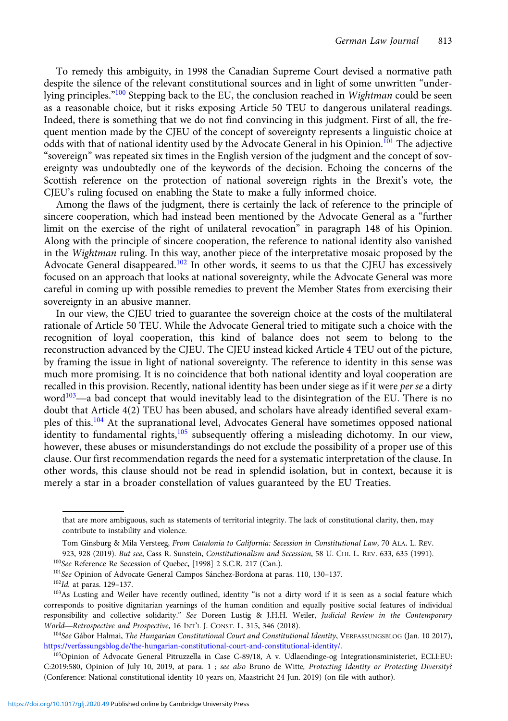To remedy this ambiguity, in 1998 the Canadian Supreme Court devised a normative path despite the silence of the relevant constitutional sources and in light of some unwritten "underlying principles."<sup>100</sup> Stepping back to the EU, the conclusion reached in *Wightman* could be seen as a reasonable choice, but it risks exposing Article 50 TEU to dangerous unilateral readings. Indeed, there is something that we do not find convincing in this judgment. First of all, the frequent mention made by the CJEU of the concept of sovereignty represents a linguistic choice at odds with that of national identity used by the Advocate General in his Opinion.<sup>101</sup> The adjective "sovereign" was repeated six times in the English version of the judgment and the concept of sovereignty was undoubtedly one of the keywords of the decision. Echoing the concerns of the Scottish reference on the protection of national sovereign rights in the Brexit's vote, the CJEU's ruling focused on enabling the State to make a fully informed choice.

Among the flaws of the judgment, there is certainly the lack of reference to the principle of sincere cooperation, which had instead been mentioned by the Advocate General as a "further limit on the exercise of the right of unilateral revocation" in paragraph 148 of his Opinion. Along with the principle of sincere cooperation, the reference to national identity also vanished in the Wightman ruling. In this way, another piece of the interpretative mosaic proposed by the Advocate General disappeared.<sup>102</sup> In other words, it seems to us that the CJEU has excessively focused on an approach that looks at national sovereignty, while the Advocate General was more careful in coming up with possible remedies to prevent the Member States from exercising their sovereignty in an abusive manner.

In our view, the CJEU tried to guarantee the sovereign choice at the costs of the multilateral rationale of Article 50 TEU. While the Advocate General tried to mitigate such a choice with the recognition of loyal cooperation, this kind of balance does not seem to belong to the reconstruction advanced by the CJEU. The CJEU instead kicked Article 4 TEU out of the picture, by framing the issue in light of national sovereignty. The reference to identity in this sense was much more promising. It is no coincidence that both national identity and loyal cooperation are recalled in this provision. Recently, national identity has been under siege as if it were *per se* a dirty word $103$ —a bad concept that would inevitably lead to the disintegration of the EU. There is no doubt that Article 4(2) TEU has been abused, and scholars have already identified several examples of this.<sup>104</sup> At the supranational level, Advocates General have sometimes opposed national identity to fundamental rights,<sup>105</sup> subsequently offering a misleading dichotomy. In our view, however, these abuses or misunderstandings do not exclude the possibility of a proper use of this clause. Our first recommendation regards the need for a systematic interpretation of the clause. In other words, this clause should not be read in splendid isolation, but in context, because it is merely a star in a broader constellation of values guaranteed by the EU Treaties.

that are more ambiguous, such as statements of territorial integrity. The lack of constitutional clarity, then, may contribute to instability and violence.

Tom Ginsburg & Mila Versteeg, From Catalonia to California: Secession in Constitutional Law, 70 ALA. L. REV.

<sup>923, 928 (2019).</sup> But see, Cass R. Sunstein, Constitutionalism and Secession, 58 U. CHI. L. REV. 633, 635 (1991). <sup>100</sup>See Reference Re Secession of Quebec, [1998] 2 S.C.R. 217 (Can.).

<sup>101</sup>See Opinion of Advocate General Campos Sánchez-Bordona at paras. 110, 130–137.

<sup>102</sup>Id. at paras. 129-137.

<sup>&</sup>lt;sup>103</sup>As Lusting and Weiler have recently outlined, identity "is not a dirty word if it is seen as a social feature which corresponds to positive dignitarian yearnings of the human condition and equally positive social features of individual responsibility and collective solidarity." See Doreen Lustig & J.H.H. Weiler, Judicial Review in the Contemporary <sup>103</sup>As Lusting and Weiler have recently outlined, identity "is not a dirty corresponds to positive dignitarian yearnings of the human condition and responsibility and collective solidarity." *See* Doreen Lustig & J.H.H.

<sup>104</sup> See Gábor Halmai, The Hungarian Constitutional Court and Constitutional Identity, VERFASSUNGSBLOG (Jan. 10 2017), [https://verfassungsblog.de/the-hungarian-constitutional-court-and-constitutional-identity/.](https://verfassungsblog.de/the-hungarian-constitutional-court-and-constitutional-identity/)

<sup>105</sup> Opinion of Advocate General Pitruzzella in Case C-89/18, A v. Udlaendinge-og Integrationsministeriet, ECLI:EU: C:2019:580, Opinion of July 10, 2019, at para. 1 ; see also Bruno de Witte, Protecting Identity or Protecting Diversity? (Conference: National constitutional identity 10 years on, Maastricht 24 Jun. 2019) (on file with author).